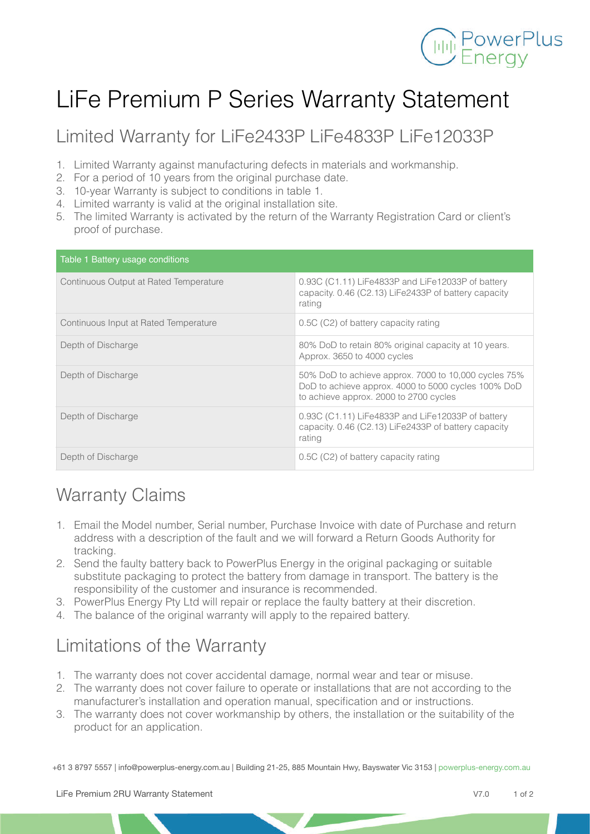

## LiFe Premium P Series Warranty Statement

Limited Warranty for LiFe2433P LiFe4833P LiFe12033P

- 1. Limited Warranty against manufacturing defects in materials and workmanship.
- 2. For a period of 10 years from the original purchase date.
- 3. 10-year Warranty is subject to conditions in table 1.
- 4. Limited warranty is valid at the original installation site.
- 5. The limited Warranty is activated by the return of the Warranty Registration Card or client's proof of purchase.

| Table 1 Battery usage conditions       |                                                                                                                                                       |
|----------------------------------------|-------------------------------------------------------------------------------------------------------------------------------------------------------|
| Continuous Output at Rated Temperature | 0.93C (C1.11) LiFe4833P and LiFe12033P of battery<br>capacity. 0.46 (C2.13) LiFe2433P of battery capacity<br>rating                                   |
| Continuous Input at Rated Temperature  | 0.5C (C2) of battery capacity rating                                                                                                                  |
| Depth of Discharge                     | 80% DoD to retain 80% original capacity at 10 years.<br>Approx. 3650 to 4000 cycles                                                                   |
| Depth of Discharge                     | 50% DoD to achieve approx. 7000 to 10,000 cycles 75%<br>DoD to achieve approx. 4000 to 5000 cycles 100% DoD<br>to achieve approx. 2000 to 2700 cycles |
| Depth of Discharge                     | 0.93C (C1.11) LiFe4833P and LiFe12033P of battery<br>capacity. 0.46 (C2.13) LiFe2433P of battery capacity<br>rating                                   |
| Depth of Discharge                     | 0.5C (C2) of battery capacity rating                                                                                                                  |

## Warranty Claims

- 1. Email the Model number, Serial number, Purchase Invoice with date of Purchase and return address with a description of the fault and we will forward a Return Goods Authority for tracking.
- 2. Send the faulty battery back to PowerPlus Energy in the original packaging or suitable substitute packaging to protect the battery from damage in transport. The battery is the responsibility of the customer and insurance is recommended.
- 3. PowerPlus Energy Pty Ltd will repair or replace the faulty battery at their discretion.
- 4. The balance of the original warranty will apply to the repaired battery.

## Limitations of the Warranty

- 1. The warranty does not cover accidental damage, normal wear and tear or misuse.
- 2. The warranty does not cover failure to operate or installations that are not according to the manufacturer's installation and operation manual, specification and or instructions.
- 3. The warranty does not cover workmanship by others, the installation or the suitability of the product for an application.

+61 3 8797 5557 | info@powerplus-energy.com.au | Building 21-25, 885 Mountain Hwy, Bayswater Vic 3153 | powerplus-energy.com.au